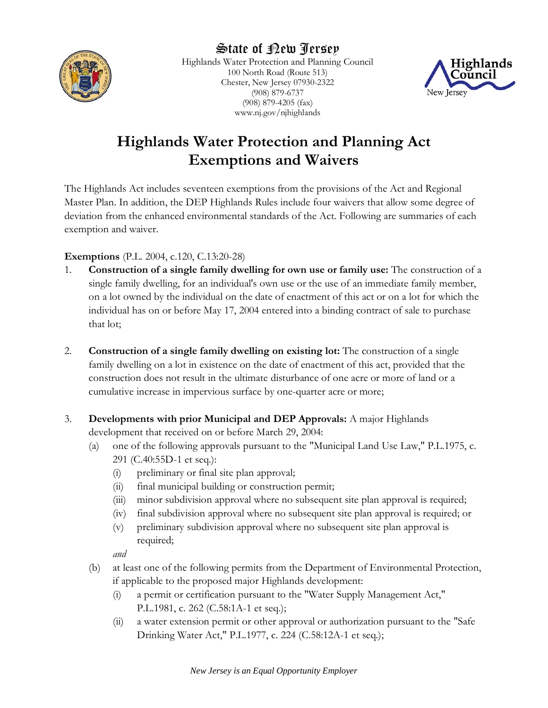

Highlands Water Protection and Planning Council 100 North Road (Route 513) Chester, New Jersey 07930-2322 (908) 879-6737 (908) 879-4205 (fax) www.nj.gov/njhighlands



# **Highlands Water Protection and Planning Act Exemptions and Waivers**

The Highlands Act includes seventeen exemptions from the provisions of the Act and Regional Master Plan. In addition, the DEP Highlands Rules include four waivers that allow some degree of deviation from the enhanced environmental standards of the Act. Following are summaries of each exemption and waiver.

# **Exemptions** (P.L. 2004, c.120, C.13:20-28)

- 1. **Construction of a single family dwelling for own use or family use:** The construction of a single family dwelling, for an individual's own use or the use of an immediate family member, on a lot owned by the individual on the date of enactment of this act or on a lot for which the individual has on or before May 17, 2004 entered into a binding contract of sale to purchase that lot;
- 2. **Construction of a single family dwelling on existing lot:** The construction of a single family dwelling on a lot in existence on the date of enactment of this act, provided that the construction does not result in the ultimate disturbance of one acre or more of land or a cumulative increase in impervious surface by one-quarter acre or more;
- 3. **Developments with prior Municipal and DEP Approvals:** A major Highlands development that received on or before March 29, 2004:
	- (a) one of the following approvals pursuant to the "Municipal Land Use Law," P.L.1975, c. 291 (C.40:55D-1 et seq.):
		- (i) preliminary or final site plan approval;
		- (ii) final municipal building or construction permit;
		- (iii) minor subdivision approval where no subsequent site plan approval is required;
		- (iv) final subdivision approval where no subsequent site plan approval is required; or
		- (v) preliminary subdivision approval where no subsequent site plan approval is required;

*and*

- (b) at least one of the following permits from the Department of Environmental Protection, if applicable to the proposed major Highlands development:
	- (i) a permit or certification pursuant to the "Water Supply Management Act," P.L.1981, c. 262 (C.58:1A-1 et seq.);
	- (ii) a water extension permit or other approval or authorization pursuant to the "Safe Drinking Water Act," P.L.1977, c. 224 (C.58:12A-1 et seq.);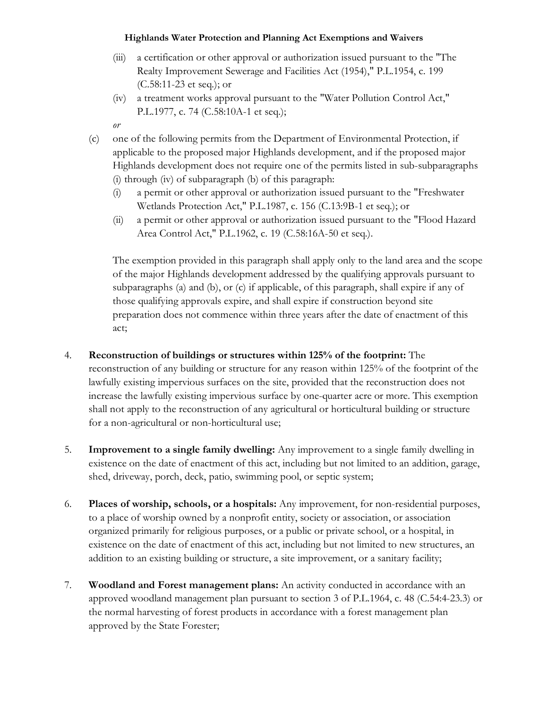#### **Highlands Water Protection and Planning Act Exemptions and Waivers**

- (iii) a certification or other approval or authorization issued pursuant to the "The Realty Improvement Sewerage and Facilities Act (1954)," P.L.1954, c. 199 (C.58:11-23 et seq.); or
- (iv) a treatment works approval pursuant to the "Water Pollution Control Act," P.L.1977, c. 74 (C.58:10A-1 et seq.);
- *or*
- (c) one of the following permits from the Department of Environmental Protection, if applicable to the proposed major Highlands development, and if the proposed major Highlands development does not require one of the permits listed in sub-subparagraphs (i) through (iv) of subparagraph (b) of this paragraph:
	- (i) a permit or other approval or authorization issued pursuant to the "Freshwater Wetlands Protection Act," P.L.1987, c. 156 (C.13:9B-1 et seq.); or
	- (ii) a permit or other approval or authorization issued pursuant to the "Flood Hazard Area Control Act," P.L.1962, c. 19 (C.58:16A-50 et seq.).

The exemption provided in this paragraph shall apply only to the land area and the scope of the major Highlands development addressed by the qualifying approvals pursuant to subparagraphs (a) and (b), or (c) if applicable, of this paragraph, shall expire if any of those qualifying approvals expire, and shall expire if construction beyond site preparation does not commence within three years after the date of enactment of this act;

- 4. **Reconstruction of buildings or structures within 125% of the footprint:** The reconstruction of any building or structure for any reason within 125% of the footprint of the lawfully existing impervious surfaces on the site, provided that the reconstruction does not increase the lawfully existing impervious surface by one-quarter acre or more. This exemption shall not apply to the reconstruction of any agricultural or horticultural building or structure for a non-agricultural or non-horticultural use;
- 5. **Improvement to a single family dwelling:** Any improvement to a single family dwelling in existence on the date of enactment of this act, including but not limited to an addition, garage, shed, driveway, porch, deck, patio, swimming pool, or septic system;
- 6. **Places of worship, schools, or a hospitals:** Any improvement, for non-residential purposes, to a place of worship owned by a nonprofit entity, society or association, or association organized primarily for religious purposes, or a public or private school, or a hospital, in existence on the date of enactment of this act, including but not limited to new structures, an addition to an existing building or structure, a site improvement, or a sanitary facility;
- 7. **Woodland and Forest management plans:** An activity conducted in accordance with an approved woodland management plan pursuant to section 3 of P.L.1964, c. 48 (C.54:4-23.3) or the normal harvesting of forest products in accordance with a forest management plan approved by the State Forester;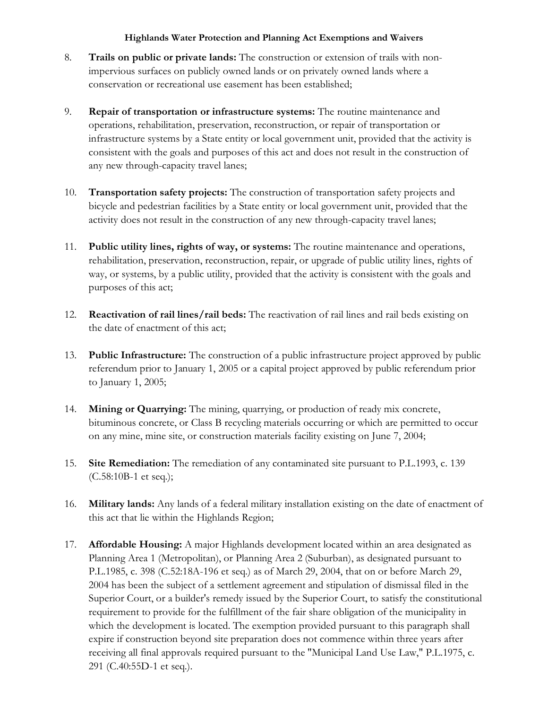#### **Highlands Water Protection and Planning Act Exemptions and Waivers**

- 8. **Trails on public or private lands:** The construction or extension of trails with nonimpervious surfaces on publicly owned lands or on privately owned lands where a conservation or recreational use easement has been established;
- 9. **Repair of transportation or infrastructure systems:** The routine maintenance and operations, rehabilitation, preservation, reconstruction, or repair of transportation or infrastructure systems by a State entity or local government unit, provided that the activity is consistent with the goals and purposes of this act and does not result in the construction of any new through-capacity travel lanes;
- 10. **Transportation safety projects:** The construction of transportation safety projects and bicycle and pedestrian facilities by a State entity or local government unit, provided that the activity does not result in the construction of any new through-capacity travel lanes;
- 11. **Public utility lines, rights of way, or systems:** The routine maintenance and operations, rehabilitation, preservation, reconstruction, repair, or upgrade of public utility lines, rights of way, or systems, by a public utility, provided that the activity is consistent with the goals and purposes of this act;
- 12. **Reactivation of rail lines/rail beds:** The reactivation of rail lines and rail beds existing on the date of enactment of this act;
- 13. **Public Infrastructure:** The construction of a public infrastructure project approved by public referendum prior to January 1, 2005 or a capital project approved by public referendum prior to January 1, 2005;
- 14. **Mining or Quarrying:** The mining, quarrying, or production of ready mix concrete, bituminous concrete, or Class B recycling materials occurring or which are permitted to occur on any mine, mine site, or construction materials facility existing on June 7, 2004;
- 15. **Site Remediation:** The remediation of any contaminated site pursuant to P.L.1993, c. 139 (C.58:10B-1 et seq.);
- 16. **Military lands:** Any lands of a federal military installation existing on the date of enactment of this act that lie within the Highlands Region;
- 17. **Affordable Housing:** A major Highlands development located within an area designated as Planning Area 1 (Metropolitan), or Planning Area 2 (Suburban), as designated pursuant to P.L.1985, c. 398 (C.52:18A-196 et seq.) as of March 29, 2004, that on or before March 29, 2004 has been the subject of a settlement agreement and stipulation of dismissal filed in the Superior Court, or a builder's remedy issued by the Superior Court, to satisfy the constitutional requirement to provide for the fulfillment of the fair share obligation of the municipality in which the development is located. The exemption provided pursuant to this paragraph shall expire if construction beyond site preparation does not commence within three years after receiving all final approvals required pursuant to the "Municipal Land Use Law," P.L.1975, c. 291 (C.40:55D-1 et seq.).